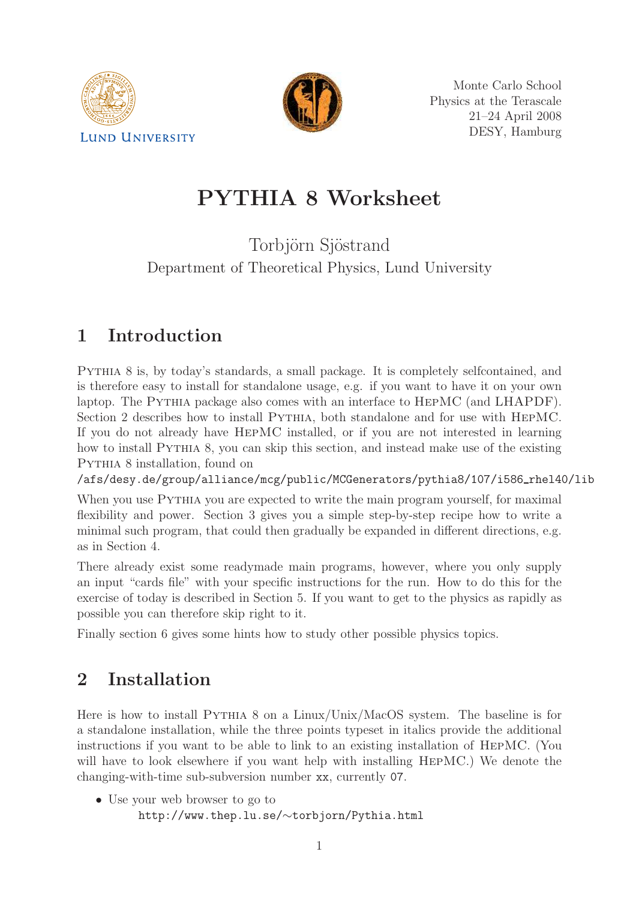



Monte Carlo School Physics at the Terascale 21–24 April 2008 DESY, Hamburg

# PYTHIA 8 Worksheet

### Torbjörn Sjöstrand Department of Theoretical Physics, Lund University

## 1 Introduction

Pythia 8 is, by today's standards, a small package. It is completely selfcontained, and is therefore easy to install for standalone usage, e.g. if you want to have it on your own laptop. The PYTHIA package also comes with an interface to HEPMC (and LHAPDF). Section 2 describes how to install PYTHIA, both standalone and for use with HEPMC. If you do not already have HepMC installed, or if you are not interested in learning how to install PYTHIA 8, you can skip this section, and instead make use of the existing Pythia 8 installation, found on

/afs/desy.de/group/alliance/mcg/public/MCGenerators/pythia8/107/i586 rhel40/lib

When you use PYTHIA you are expected to write the main program yourself, for maximal flexibility and power. Section 3 gives you a simple step-by-step recipe how to write a minimal such program, that could then gradually be expanded in different directions, e.g. as in Section 4.

There already exist some readymade main programs, however, where you only supply an input "cards file" with your specific instructions for the run. How to do this for the exercise of today is described in Section 5. If you want to get to the physics as rapidly as possible you can therefore skip right to it.

Finally section 6 gives some hints how to study other possible physics topics.

### 2 Installation

Here is how to install Pythia 8 on a Linux/Unix/MacOS system. The baseline is for a standalone installation, while the three points typeset in italics provide the additional instructions if you want to be able to link to an existing installation of HepMC. (You will have to look elsewhere if you want help with installing HepMC.) We denote the changing-with-time sub-subversion number xx, currently 07.

• Use your web browser to go to http://www.thep.lu.se/∼torbjorn/Pythia.html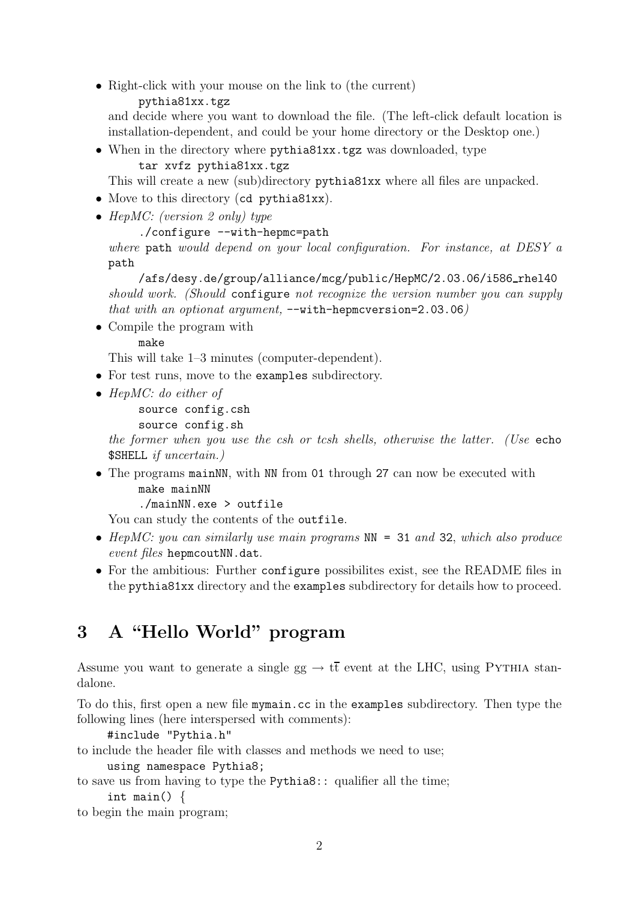• Right-click with your mouse on the link to (the current)

```
pythia81xx.tgz
```
and decide where you want to download the file. (The left-click default location is installation-dependent, and could be your home directory or the Desktop one.)

• When in the directory where pythia81xx.tgz was downloaded, type tar xvfz pythia81xx.tgz

This will create a new (sub)directory pythia81xx where all files are unpacked.

- Move to this directory (cd pythia81xx).
- HepMC: (version 2 only) type

```
./configure --with-hepmc=path
```
where path would depend on your local configuration. For instance, at DESY a path

/afs/desy.de/group/alliance/mcg/public/HepMC/2.03.06/i586 rhel40 should work. (Should configure not recognize the version number you can supply that with an optionat argument,  $--with\text{-}hepm\text{cversion}=2.03.06$ )

• Compile the program with

make

This will take 1–3 minutes (computer-dependent).

- For test runs, move to the examples subdirectory.
- HepMC: do either of

```
source config.csh
```

```
source config.sh
```
the former when you use the csh or tcsh shells, otherwise the latter. (Use echo \$SHELL if uncertain.)

• The programs mainNN, with NN from 01 through 27 can now be executed with make mainNN

./mainNN.exe > outfile

You can study the contents of the outfile.

- HepMC: you can similarly use main programs NN = 31 and 32, which also produce event files hepmcoutNN.dat.
- For the ambitious: Further configure possibilities exist, see the README files in the pythia81xx directory and the examples subdirectory for details how to proceed.

### 3 A "Hello World" program

Assume you want to generate a single  $gg \to t\bar{t}$  event at the LHC, using PYTHIA standalone.

To do this, first open a new file mymain.cc in the examples subdirectory. Then type the following lines (here interspersed with comments):

```
#include "Pythia.h"
```
to include the header file with classes and methods we need to use;

```
using namespace Pythia8;
```

```
to save us from having to type the Pythia8:: qualifier all the time;
     int main() {
```
to begin the main program;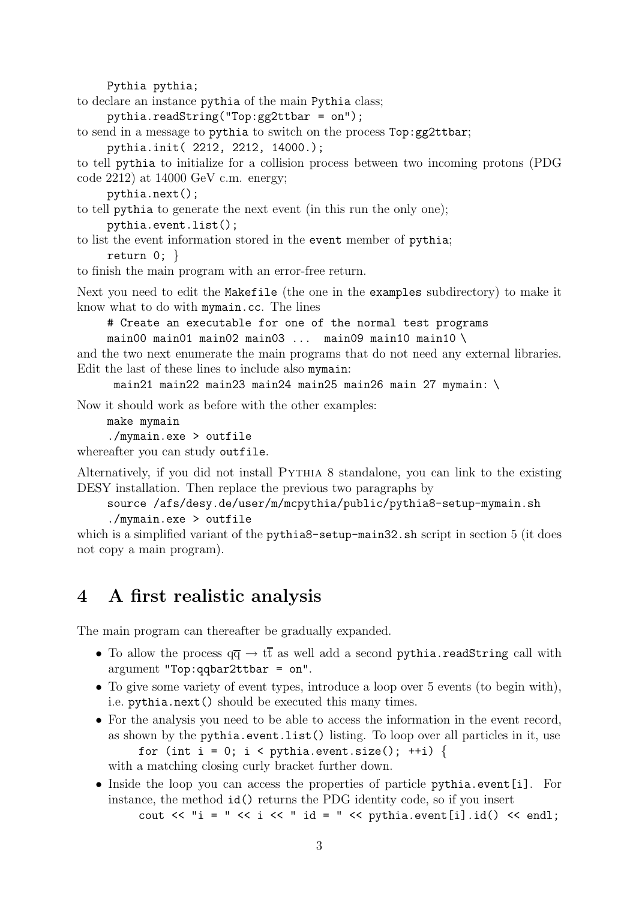Pythia pythia;

to declare an instance pythia of the main Pythia class;

pythia.readString("Top:gg2ttbar = on");

to send in a message to pythia to switch on the process Top:gg2ttbar;

pythia.init( 2212, 2212, 14000.);

to tell pythia to initialize for a collision process between two incoming protons (PDG code 2212) at 14000 GeV c.m. energy;

pythia.next();

to tell pythia to generate the next event (in this run the only one); pythia.event.list();

to list the event information stored in the event member of pythia;

return  $0$ ; }

to finish the main program with an error-free return.

Next you need to edit the Makefile (the one in the examples subdirectory) to make it know what to do with mymain.cc. The lines

# Create an executable for one of the normal test programs main00 main01 main02 main03 ... main09 main10 main10 \

and the two next enumerate the main programs that do not need any external libraries. Edit the last of these lines to include also mymain:

main21 main22 main23 main24 main25 main26 main 27 mymain: \

Now it should work as before with the other examples:

make mymain

./mymain.exe > outfile

whereafter you can study outfile.

Alternatively, if you did not install Pythia 8 standalone, you can link to the existing DESY installation. Then replace the previous two paragraphs by

```
source /afs/desy.de/user/m/mcpythia/public/pythia8-setup-mymain.sh
./mymain.exe > outfile
```
which is a simplified variant of the pythia8-setup-main32.sh script in section 5 (it does not copy a main program).

#### 4 A first realistic analysis

The main program can thereafter be gradually expanded.

- To allow the process  $q\bar{q} \to t\bar{t}$  as well add a second pythia.readString call with argument "Top:qqbar2ttbar = on".
- To give some variety of event types, introduce a loop over 5 events (to begin with), i.e. pythia.next() should be executed this many times.
- For the analysis you need to be able to access the information in the event record, as shown by the pythia.event.list() listing. To loop over all particles in it, use for (int i = 0; i < pythia.event.size();  $++i$ ) { with a matching closing curly bracket further down.
- Inside the loop you can access the properties of particle pythia.event[i]. For instance, the method id() returns the PDG identity code, so if you insert

cout  $\langle \cdot \rangle$  "i = "  $\langle \cdot \rangle$  i  $\langle \cdot \rangle$  " id = "  $\langle \cdot \rangle$  pythia.event[i].id()  $\langle \cdot \rangle$  endl;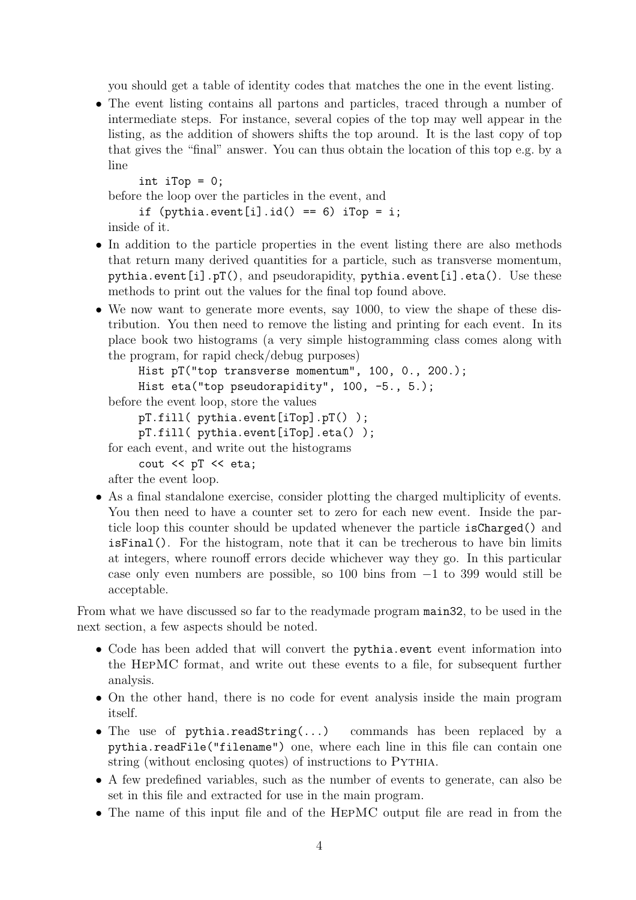you should get a table of identity codes that matches the one in the event listing.

• The event listing contains all partons and particles, traced through a number of intermediate steps. For instance, several copies of the top may well appear in the listing, as the addition of showers shifts the top around. It is the last copy of top that gives the "final" answer. You can thus obtain the location of this top e.g. by a line

int iTop  $= 0$ ; before the loop over the particles in the event, and if  $(pythia.event[i].id() == 6) ifop = i;$ inside of it.

- 
- In addition to the particle properties in the event listing there are also methods that return many derived quantities for a particle, such as transverse momentum, pythia.event[i].pT(), and pseudorapidity, pythia.event[i].eta(). Use these methods to print out the values for the final top found above.
- We now want to generate more events, say 1000, to view the shape of these distribution. You then need to remove the listing and printing for each event. In its place book two histograms (a very simple histogramming class comes along with the program, for rapid check/debug purposes)

```
Hist pT("top transverse momentum", 100, 0., 200.);
    Hist eta("top pseudorapidity", 100, -5., 5.);
before the event loop, store the values
```

```
pT.fill( pythia.event[iTop].pT() );
    pT.fill( pythia.event[iTop].eta() );
for each event, and write out the histograms
```
cout << pT << eta;

after the event loop.

• As a final standalone exercise, consider plotting the charged multiplicity of events. You then need to have a counter set to zero for each new event. Inside the particle loop this counter should be updated whenever the particle isCharged() and isFinal(). For the histogram, note that it can be trecherous to have bin limits at integers, where rounoff errors decide whichever way they go. In this particular case only even numbers are possible, so 100 bins from −1 to 399 would still be acceptable.

From what we have discussed so far to the readymade program main32, to be used in the next section, a few aspects should be noted.

- Code has been added that will convert the pythia.event event information into the HepMC format, and write out these events to a file, for subsequent further analysis.
- On the other hand, there is no code for event analysis inside the main program itself.
- The use of pythia.readString(...) commands has been replaced by a pythia.readFile("filename") one, where each line in this file can contain one string (without enclosing quotes) of instructions to PYTHIA.
- A few predefined variables, such as the number of events to generate, can also be set in this file and extracted for use in the main program.
- The name of this input file and of the HepMC output file are read in from the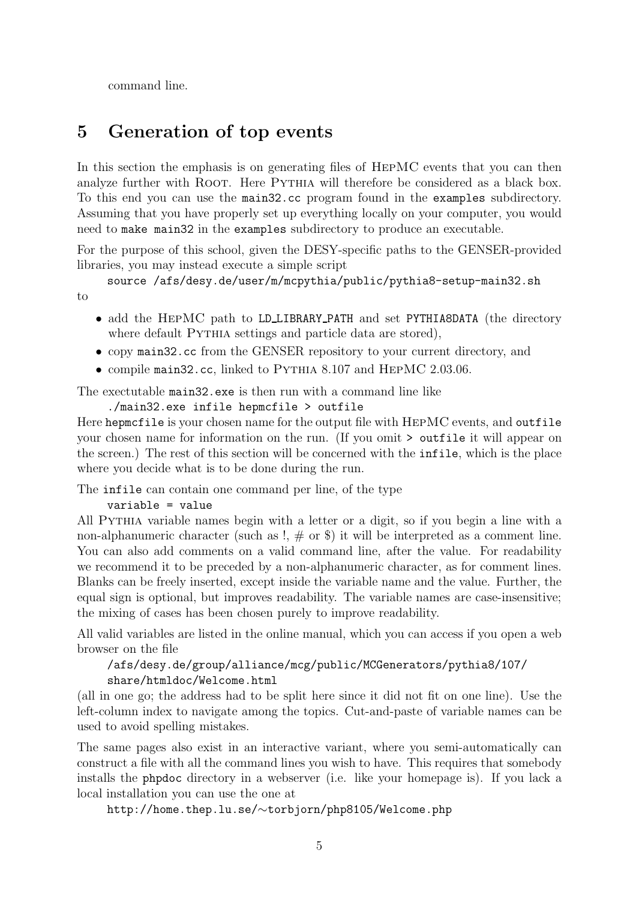command line.

### 5 Generation of top events

In this section the emphasis is on generating files of HepMC events that you can then analyze further with ROOT. Here PYTHIA will therefore be considered as a black box. To this end you can use the main32.cc program found in the examples subdirectory. Assuming that you have properly set up everything locally on your computer, you would need to make main32 in the examples subdirectory to produce an executable.

For the purpose of this school, given the DESY-specific paths to the GENSER-provided libraries, you may instead execute a simple script

source /afs/desy.de/user/m/mcpythia/public/pythia8-setup-main32.sh

to

- add the HEPMC path to LD\_LIBRARY\_PATH and set PYTHIA8DATA (the directory where default PYTHIA settings and particle data are stored),
- copy main32.cc from the GENSER repository to your current directory, and
- compile main32.cc, linked to PYTHIA 8.107 and HEPMC 2.03.06.

The exectutable main32.exe is then run with a command line like

./main32.exe infile hepmcfile > outfile

Here hepmcfile is your chosen name for the output file with HEPMC events, and outfile your chosen name for information on the run. (If you omit > outfile it will appear on the screen.) The rest of this section will be concerned with the infile, which is the place where you decide what is to be done during the run.

The infile can contain one command per line, of the type

variable = value

All PYTHIA variable names begin with a letter or a digit, so if you begin a line with a non-alphanumeric character (such as  $!, \#$  or  $\hat{\mathcal{S}}$ ) it will be interpreted as a comment line. You can also add comments on a valid command line, after the value. For readability we recommend it to be preceded by a non-alphanumeric character, as for comment lines. Blanks can be freely inserted, except inside the variable name and the value. Further, the equal sign is optional, but improves readability. The variable names are case-insensitive; the mixing of cases has been chosen purely to improve readability.

All valid variables are listed in the online manual, which you can access if you open a web browser on the file

#### /afs/desy.de/group/alliance/mcg/public/MCGenerators/pythia8/107/ share/htmldoc/Welcome.html

(all in one go; the address had to be split here since it did not fit on one line). Use the left-column index to navigate among the topics. Cut-and-paste of variable names can be used to avoid spelling mistakes.

The same pages also exist in an interactive variant, where you semi-automatically can construct a file with all the command lines you wish to have. This requires that somebody installs the phpdoc directory in a webserver (i.e. like your homepage is). If you lack a local installation you can use the one at

http://home.thep.lu.se/∼torbjorn/php8105/Welcome.php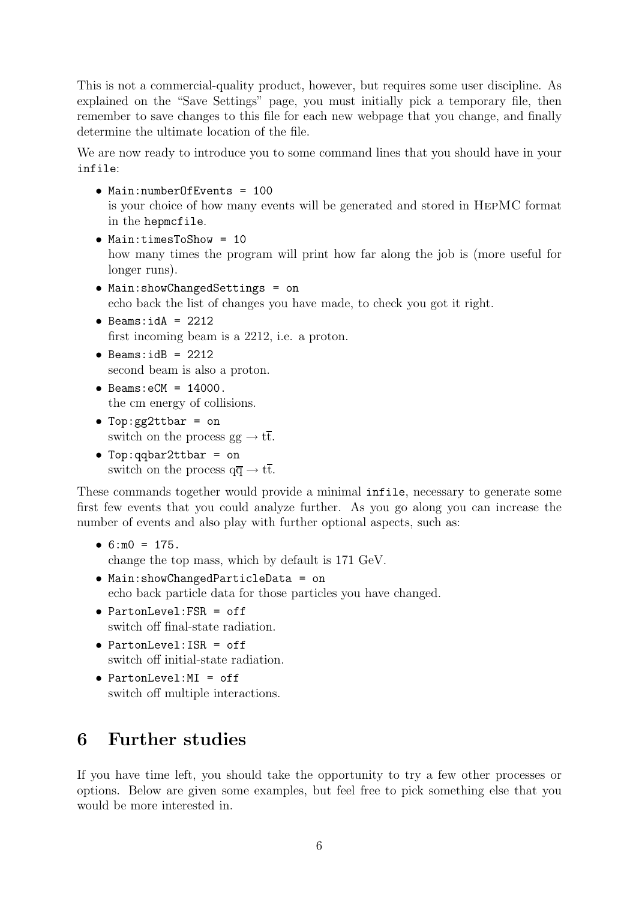This is not a commercial-quality product, however, but requires some user discipline. As explained on the "Save Settings" page, you must initially pick a temporary file, then remember to save changes to this file for each new webpage that you change, and finally determine the ultimate location of the file.

We are now ready to introduce you to some command lines that you should have in your infile:

- Main:numberOfEvents = 100 is your choice of how many events will be generated and stored in HepMC format in the hepmcfile.
- Main:timesToShow = 10 how many times the program will print how far along the job is (more useful for longer runs).
- Main:showChangedSettings = on echo back the list of changes you have made, to check you got it right.
- Beams: $idA = 2212$ first incoming beam is a 2212, i.e. a proton.
- Beams: $idB = 2212$ second beam is also a proton.
- $\bullet$  Beams: eCM = 14000. the cm energy of collisions.
- Top:gg2ttbar = on switch on the process  $gg \to t\overline{t}$ .
- Top:qqbar2ttbar = on switch on the process  $q\bar{q} \to t\bar{t}$ .

These commands together would provide a minimal infile, necessary to generate some first few events that you could analyze further. As you go along you can increase the number of events and also play with further optional aspects, such as:

- $6: m0 = 175$ . change the top mass, which by default is 171 GeV.
- Main:showChangedParticleData = on echo back particle data for those particles you have changed.
- PartonLevel:FSR = off switch off final-state radiation.
- PartonLevel:ISR = off switch off initial-state radiation.
- PartonLevel:MI = off switch off multiple interactions.

### 6 Further studies

If you have time left, you should take the opportunity to try a few other processes or options. Below are given some examples, but feel free to pick something else that you would be more interested in.